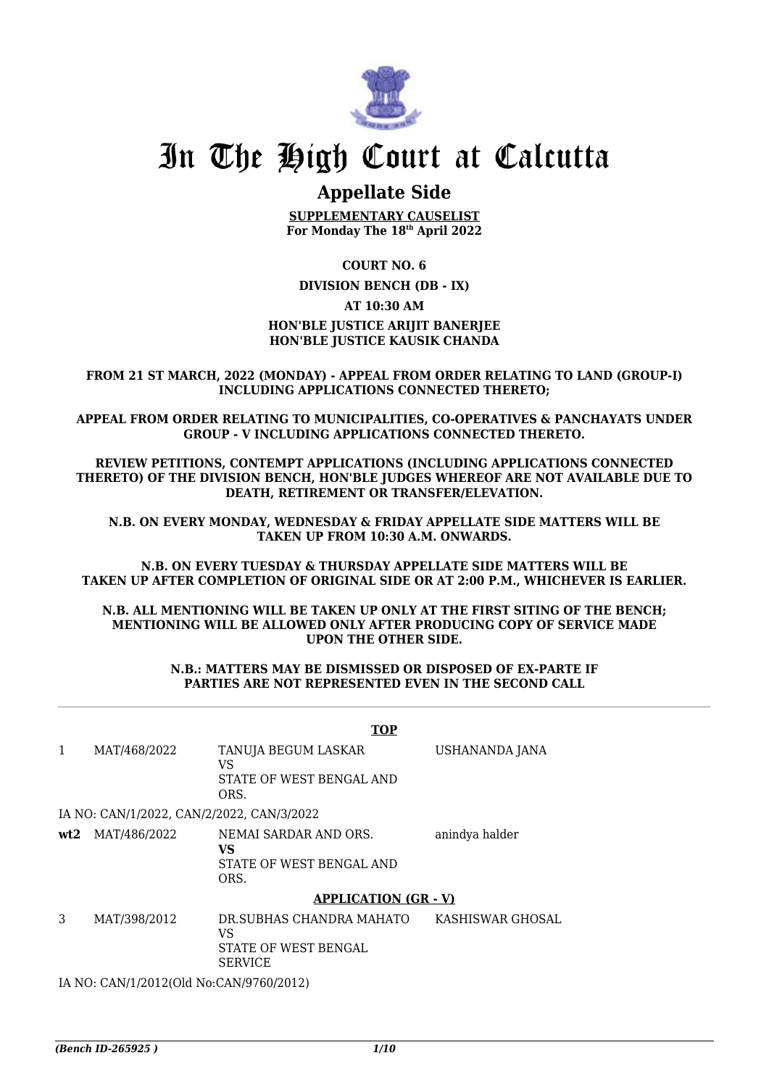

## In The High Court at Calcutta

## **Appellate Side**

**SUPPLEMENTARY CAUSELIST For Monday The 18th April 2022**

**COURT NO. 6**

**DIVISION BENCH (DB - IX)**

**AT 10:30 AM**

## **HON'BLE JUSTICE ARIJIT BANERJEE HON'BLE JUSTICE KAUSIK CHANDA**

**FROM 21 ST MARCH, 2022 (MONDAY) - APPEAL FROM ORDER RELATING TO LAND (GROUP-I) INCLUDING APPLICATIONS CONNECTED THERETO;**

**APPEAL FROM ORDER RELATING TO MUNICIPALITIES, CO-OPERATIVES & PANCHAYATS UNDER GROUP - V INCLUDING APPLICATIONS CONNECTED THERETO.**

**REVIEW PETITIONS, CONTEMPT APPLICATIONS (INCLUDING APPLICATIONS CONNECTED THERETO) OF THE DIVISION BENCH, HON'BLE JUDGES WHEREOF ARE NOT AVAILABLE DUE TO DEATH, RETIREMENT OR TRANSFER/ELEVATION.**

**N.B. ON EVERY MONDAY, WEDNESDAY & FRIDAY APPELLATE SIDE MATTERS WILL BE TAKEN UP FROM 10:30 A.M. ONWARDS.**

**N.B. ON EVERY TUESDAY & THURSDAY APPELLATE SIDE MATTERS WILL BE TAKEN UP AFTER COMPLETION OF ORIGINAL SIDE OR AT 2:00 P.M., WHICHEVER IS EARLIER.**

**N.B. ALL MENTIONING WILL BE TAKEN UP ONLY AT THE FIRST SITING OF THE BENCH; MENTIONING WILL BE ALLOWED ONLY AFTER PRODUCING COPY OF SERVICE MADE UPON THE OTHER SIDE.**

> **N.B.: MATTERS MAY BE DISMISSED OR DISPOSED OF EX-PARTE IF PARTIES ARE NOT REPRESENTED EVEN IN THE SECOND CALL**

|   |                                           | <b>TOP</b>                                                                      |                  |
|---|-------------------------------------------|---------------------------------------------------------------------------------|------------------|
| 1 | MAT/468/2022                              | TANUJA BEGUM LASKAR<br>VS<br>STATE OF WEST BENGAL AND<br>ORS.                   | USHANANDA JANA   |
|   | IA NO: CAN/1/2022, CAN/2/2022, CAN/3/2022 |                                                                                 |                  |
|   | <b>wt2</b> MAT/486/2022                   | NEMAI SARDAR AND ORS.<br>VS<br>STATE OF WEST BENGAL AND<br>ORS.                 | anindya halder   |
|   |                                           | <b>APPLICATION (GR - V)</b>                                                     |                  |
| 3 | MAT/398/2012                              | DR.SUBHAS CHANDRA MAHATO<br>VS<br><b>STATE OF WEST BENGAL</b><br><b>SERVICE</b> | KASHISWAR GHOSAL |
|   | IA NO: CAN/1/2012(Old No:CAN/9760/2012)   |                                                                                 |                  |
|   |                                           |                                                                                 |                  |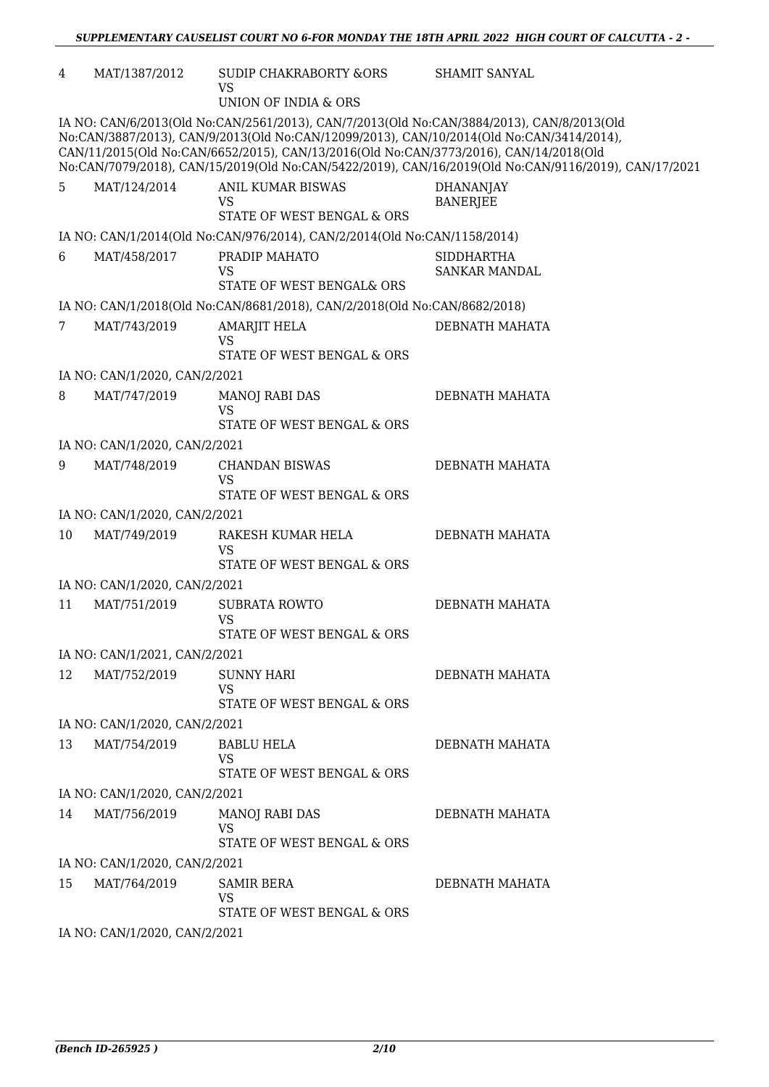| 4  | MAT/1387/2012                                                                                                                                                                                                                                                                                                                                                                          | SUDIP CHAKRABORTY &ORS<br>VS<br><b>UNION OF INDIA &amp; ORS</b>           | SHAMIT SANYAL                             |  |  |  |
|----|----------------------------------------------------------------------------------------------------------------------------------------------------------------------------------------------------------------------------------------------------------------------------------------------------------------------------------------------------------------------------------------|---------------------------------------------------------------------------|-------------------------------------------|--|--|--|
|    | IA NO: CAN/6/2013(Old No:CAN/2561/2013), CAN/7/2013(Old No:CAN/3884/2013), CAN/8/2013(Old<br>No:CAN/3887/2013), CAN/9/2013(Old No:CAN/12099/2013), CAN/10/2014(Old No:CAN/3414/2014),<br>CAN/11/2015(Old No:CAN/6652/2015), CAN/13/2016(Old No:CAN/3773/2016), CAN/14/2018(Old<br>No:CAN/7079/2018), CAN/15/2019(Old No:CAN/5422/2019), CAN/16/2019(Old No:CAN/9116/2019), CAN/17/2021 |                                                                           |                                           |  |  |  |
| 5  | MAT/124/2014                                                                                                                                                                                                                                                                                                                                                                           | ANIL KUMAR BISWAS<br><b>VS</b><br>STATE OF WEST BENGAL & ORS              | <b>DHANANJAY</b><br><b>BANERJEE</b>       |  |  |  |
|    |                                                                                                                                                                                                                                                                                                                                                                                        | IA NO: CAN/1/2014(Old No:CAN/976/2014), CAN/2/2014(Old No:CAN/1158/2014)  |                                           |  |  |  |
| 6  | MAT/458/2017                                                                                                                                                                                                                                                                                                                                                                           | PRADIP MAHATO<br><b>VS</b><br>STATE OF WEST BENGAL& ORS                   | <b>SIDDHARTHA</b><br><b>SANKAR MANDAL</b> |  |  |  |
|    |                                                                                                                                                                                                                                                                                                                                                                                        | IA NO: CAN/1/2018(Old No:CAN/8681/2018), CAN/2/2018(Old No:CAN/8682/2018) |                                           |  |  |  |
| 7  | MAT/743/2019                                                                                                                                                                                                                                                                                                                                                                           | AMARJIT HELA<br><b>VS</b><br>STATE OF WEST BENGAL & ORS                   | DEBNATH MAHATA                            |  |  |  |
|    | IA NO: CAN/1/2020, CAN/2/2021                                                                                                                                                                                                                                                                                                                                                          |                                                                           |                                           |  |  |  |
| 8  | MAT/747/2019                                                                                                                                                                                                                                                                                                                                                                           | <b>MANOJ RABI DAS</b><br><b>VS</b><br>STATE OF WEST BENGAL & ORS          | DEBNATH MAHATA                            |  |  |  |
|    | IA NO: CAN/1/2020, CAN/2/2021                                                                                                                                                                                                                                                                                                                                                          |                                                                           |                                           |  |  |  |
| 9  | MAT/748/2019                                                                                                                                                                                                                                                                                                                                                                           | <b>CHANDAN BISWAS</b><br><b>VS</b><br>STATE OF WEST BENGAL & ORS          | DEBNATH MAHATA                            |  |  |  |
|    | IA NO: CAN/1/2020, CAN/2/2021                                                                                                                                                                                                                                                                                                                                                          |                                                                           |                                           |  |  |  |
| 10 | MAT/749/2019                                                                                                                                                                                                                                                                                                                                                                           | RAKESH KUMAR HELA<br><b>VS</b><br>STATE OF WEST BENGAL & ORS              | DEBNATH MAHATA                            |  |  |  |
|    | IA NO: CAN/1/2020, CAN/2/2021                                                                                                                                                                                                                                                                                                                                                          |                                                                           |                                           |  |  |  |
| 11 | MAT/751/2019                                                                                                                                                                                                                                                                                                                                                                           | SUBRATA ROWTO<br><b>VS</b><br>STATE OF WEST BENGAL & ORS                  | DEBNATH MAHATA                            |  |  |  |
|    | IA NO: CAN/1/2021, CAN/2/2021                                                                                                                                                                                                                                                                                                                                                          |                                                                           |                                           |  |  |  |
| 12 | MAT/752/2019                                                                                                                                                                                                                                                                                                                                                                           | <b>SUNNY HARI</b><br><b>VS</b><br>STATE OF WEST BENGAL & ORS              | DEBNATH MAHATA                            |  |  |  |
|    | IA NO: CAN/1/2020, CAN/2/2021                                                                                                                                                                                                                                                                                                                                                          |                                                                           |                                           |  |  |  |
| 13 | MAT/754/2019                                                                                                                                                                                                                                                                                                                                                                           | <b>BABLU HELA</b><br><b>VS</b><br>STATE OF WEST BENGAL & ORS              | DEBNATH MAHATA                            |  |  |  |
|    | IA NO: CAN/1/2020, CAN/2/2021                                                                                                                                                                                                                                                                                                                                                          |                                                                           |                                           |  |  |  |
| 14 | MAT/756/2019                                                                                                                                                                                                                                                                                                                                                                           | <b>MANOJ RABI DAS</b><br><b>VS</b><br>STATE OF WEST BENGAL & ORS          | DEBNATH MAHATA                            |  |  |  |
|    | IA NO: CAN/1/2020, CAN/2/2021                                                                                                                                                                                                                                                                                                                                                          |                                                                           |                                           |  |  |  |
| 15 | MAT/764/2019                                                                                                                                                                                                                                                                                                                                                                           | SAMIR BERA<br>VS<br>STATE OF WEST BENGAL & ORS                            | DEBNATH MAHATA                            |  |  |  |
|    | IA NO: CAN/1/2020, CAN/2/2021                                                                                                                                                                                                                                                                                                                                                          |                                                                           |                                           |  |  |  |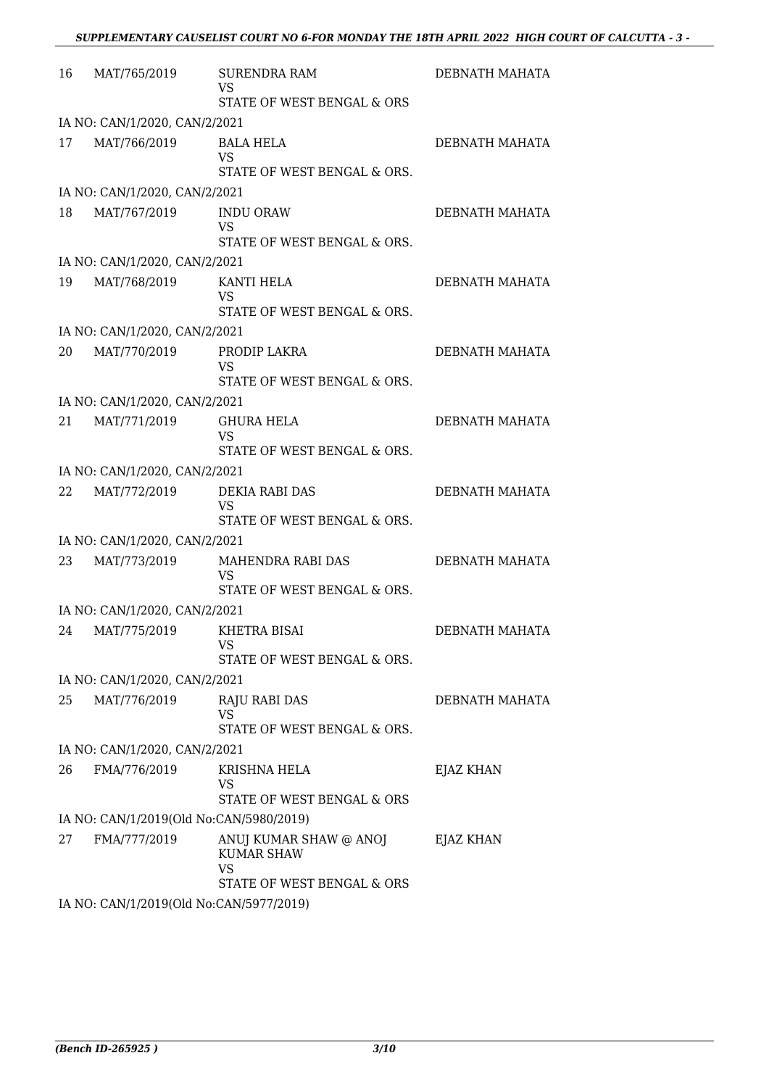| 16 | MAT/765/2019                            | <b>SURENDRA RAM</b><br><b>VS</b><br>STATE OF WEST BENGAL & ORS                         | DEBNATH MAHATA |  |  |
|----|-----------------------------------------|----------------------------------------------------------------------------------------|----------------|--|--|
|    | IA NO: CAN/1/2020, CAN/2/2021           |                                                                                        |                |  |  |
| 17 | MAT/766/2019                            | <b>BALA HELA</b><br><b>VS</b><br>STATE OF WEST BENGAL & ORS.                           | DEBNATH MAHATA |  |  |
|    | IA NO: CAN/1/2020, CAN/2/2021           |                                                                                        |                |  |  |
| 18 | MAT/767/2019                            | <b>INDU ORAW</b><br><b>VS</b><br>STATE OF WEST BENGAL & ORS.                           | DEBNATH MAHATA |  |  |
|    | IA NO: CAN/1/2020, CAN/2/2021           |                                                                                        |                |  |  |
| 19 | MAT/768/2019                            | KANTI HELA<br><b>VS</b><br>STATE OF WEST BENGAL & ORS.                                 | DEBNATH MAHATA |  |  |
|    | IA NO: CAN/1/2020, CAN/2/2021           |                                                                                        |                |  |  |
| 20 | MAT/770/2019                            | PRODIP LAKRA<br><b>VS</b><br>STATE OF WEST BENGAL & ORS.                               | DEBNATH MAHATA |  |  |
|    | IA NO: CAN/1/2020, CAN/2/2021           |                                                                                        |                |  |  |
| 21 | MAT/771/2019                            | <b>GHURA HELA</b><br>VS<br>STATE OF WEST BENGAL & ORS.                                 | DEBNATH MAHATA |  |  |
|    | IA NO: CAN/1/2020, CAN/2/2021           |                                                                                        |                |  |  |
| 22 | MAT/772/2019                            | DEKIA RABI DAS<br><b>VS</b><br>STATE OF WEST BENGAL & ORS.                             | DEBNATH MAHATA |  |  |
|    | IA NO: CAN/1/2020, CAN/2/2021           |                                                                                        |                |  |  |
| 23 | MAT/773/2019                            | MAHENDRA RABI DAS<br>VS<br>STATE OF WEST BENGAL & ORS.                                 | DEBNATH MAHATA |  |  |
|    | IA NO: CAN/1/2020, CAN/2/2021           |                                                                                        |                |  |  |
| 24 | MAT/775/2019                            | KHETRA BISAI<br><b>VS</b><br>STATE OF WEST BENGAL & ORS.                               | DEBNATH MAHATA |  |  |
|    | IA NO: CAN/1/2020, CAN/2/2021           |                                                                                        |                |  |  |
| 25 | MAT/776/2019                            | <b>RAJU RABI DAS</b><br><b>VS</b><br>STATE OF WEST BENGAL & ORS.                       | DEBNATH MAHATA |  |  |
|    | IA NO: CAN/1/2020, CAN/2/2021           |                                                                                        |                |  |  |
| 26 | FMA/776/2019                            | KRISHNA HELA<br>VS<br>STATE OF WEST BENGAL & ORS                                       | EJAZ KHAN      |  |  |
|    | IA NO: CAN/1/2019(Old No:CAN/5980/2019) |                                                                                        |                |  |  |
| 27 | FMA/777/2019                            | ANUJ KUMAR SHAW @ ANOJ<br><b>KUMAR SHAW</b><br><b>VS</b><br>STATE OF WEST BENGAL & ORS | EJAZ KHAN      |  |  |
|    |                                         |                                                                                        |                |  |  |

IA NO: CAN/1/2019(Old No:CAN/5977/2019)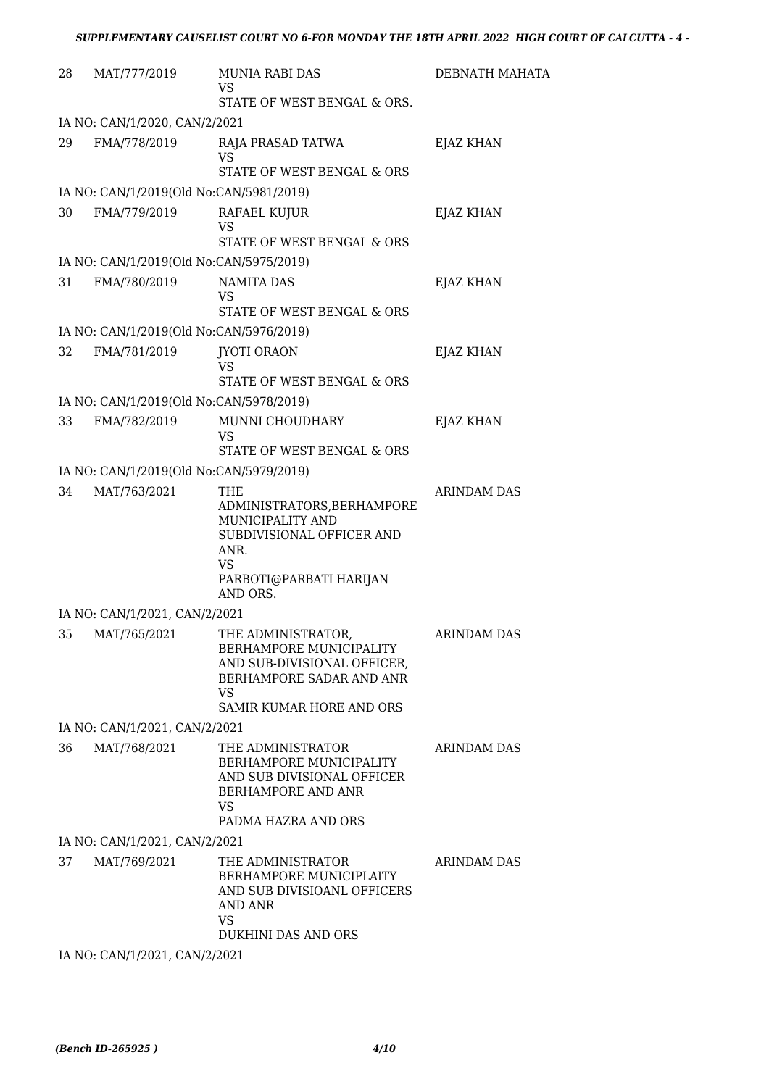| 28 | MAT/777/2019                            | MUNIA RABI DAS<br>VS                                                                                                                               | DEBNATH MAHATA     |
|----|-----------------------------------------|----------------------------------------------------------------------------------------------------------------------------------------------------|--------------------|
|    |                                         | STATE OF WEST BENGAL & ORS.                                                                                                                        |                    |
|    | IA NO: CAN/1/2020, CAN/2/2021           |                                                                                                                                                    |                    |
| 29 | FMA/778/2019                            | RAJA PRASAD TATWA<br><b>VS</b>                                                                                                                     | <b>EJAZ KHAN</b>   |
|    |                                         | STATE OF WEST BENGAL & ORS                                                                                                                         |                    |
|    | IA NO: CAN/1/2019(Old No:CAN/5981/2019) |                                                                                                                                                    |                    |
| 30 | FMA/779/2019                            | RAFAEL KUJUR<br>VS<br>STATE OF WEST BENGAL & ORS                                                                                                   | EJAZ KHAN          |
|    | IA NO: CAN/1/2019(Old No:CAN/5975/2019) |                                                                                                                                                    |                    |
| 31 | FMA/780/2019                            | <b>NAMITA DAS</b><br><b>VS</b><br>STATE OF WEST BENGAL & ORS                                                                                       | EJAZ KHAN          |
|    | IA NO: CAN/1/2019(Old No:CAN/5976/2019) |                                                                                                                                                    |                    |
| 32 | FMA/781/2019                            | <b>JYOTI ORAON</b><br><b>VS</b><br>STATE OF WEST BENGAL & ORS                                                                                      | EJAZ KHAN          |
|    | IA NO: CAN/1/2019(Old No:CAN/5978/2019) |                                                                                                                                                    |                    |
| 33 | FMA/782/2019                            | MUNNI CHOUDHARY<br><b>VS</b>                                                                                                                       | EJAZ KHAN          |
|    |                                         | STATE OF WEST BENGAL & ORS                                                                                                                         |                    |
| 34 | IA NO: CAN/1/2019(Old No:CAN/5979/2019) |                                                                                                                                                    |                    |
|    | MAT/763/2021                            | THE<br>ADMINISTRATORS, BERHAMPORE<br>MUNICIPALITY AND<br>SUBDIVISIONAL OFFICER AND<br>ANR.<br>VS<br>PARBOTI@PARBATI HARIJAN<br>AND ORS.            | ARINDAM DAS        |
|    | IA NO: CAN/1/2021, CAN/2/2021           |                                                                                                                                                    |                    |
| 35 | MAT/765/2021                            | THE ADMINISTRATOR,<br>BERHAMPORE MUNICIPALITY<br>AND SUB-DIVISIONAL OFFICER,<br>BERHAMPORE SADAR AND ANR<br>VS.<br><b>SAMIR KUMAR HORE AND ORS</b> | <b>ARINDAM DAS</b> |
|    | IA NO: CAN/1/2021, CAN/2/2021           |                                                                                                                                                    |                    |
| 36 | MAT/768/2021                            | THE ADMINISTRATOR<br>BERHAMPORE MUNICIPALITY<br>AND SUB DIVISIONAL OFFICER<br>BERHAMPORE AND ANR<br>VS<br>PADMA HAZRA AND ORS                      | <b>ARINDAM DAS</b> |
|    | IA NO: CAN/1/2021, CAN/2/2021           |                                                                                                                                                    |                    |
| 37 | MAT/769/2021                            | THE ADMINISTRATOR<br>BERHAMPORE MUNICIPLAITY<br>AND SUB DIVISIOANL OFFICERS<br><b>AND ANR</b><br><b>VS</b><br><b>DUKHINI DAS AND ORS</b>           | <b>ARINDAM DAS</b> |
|    | IA NO: CAN/1/2021, CAN/2/2021           |                                                                                                                                                    |                    |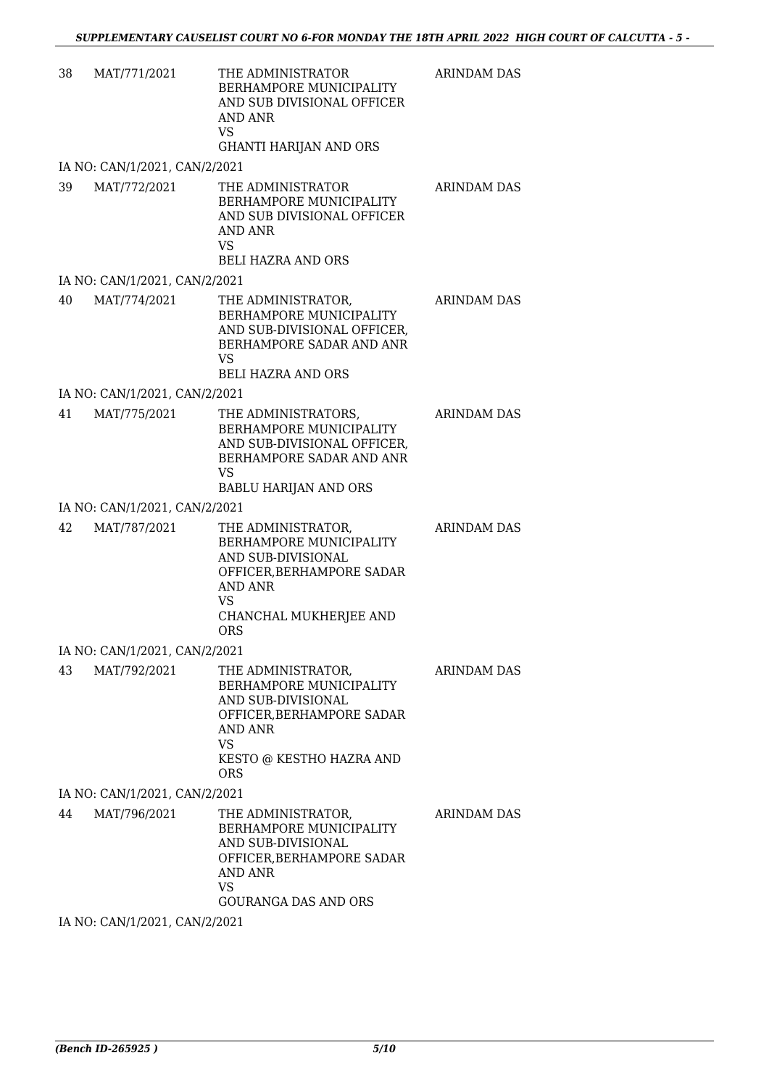| 38 | MAT/771/2021                   | THE ADMINISTRATOR<br>BERHAMPORE MUNICIPALITY<br>AND SUB DIVISIONAL OFFICER<br><b>AND ANR</b><br><b>VS</b><br><b>GHANTI HARIJAN AND ORS</b>                                      | <b>ARINDAM DAS</b> |
|----|--------------------------------|---------------------------------------------------------------------------------------------------------------------------------------------------------------------------------|--------------------|
|    | IA NO: CAN/1/2021, CAN/2/2021  |                                                                                                                                                                                 |                    |
| 39 | MAT/772/2021                   | THE ADMINISTRATOR<br>BERHAMPORE MUNICIPALITY<br>AND SUB DIVISIONAL OFFICER<br><b>AND ANR</b><br><b>VS</b><br><b>BELI HAZRA AND ORS</b>                                          | <b>ARINDAM DAS</b> |
|    | IA NO: CAN/1/2021, CAN/2/2021  |                                                                                                                                                                                 |                    |
| 40 | MAT/774/2021                   | THE ADMINISTRATOR,<br>BERHAMPORE MUNICIPALITY<br>AND SUB-DIVISIONAL OFFICER,<br>BERHAMPORE SADAR AND ANR<br><b>VS</b><br><b>BELI HAZRA AND ORS</b>                              | <b>ARINDAM DAS</b> |
|    | IA NO: CAN/1/2021, CAN/2/2021  |                                                                                                                                                                                 |                    |
| 41 | MAT/775/2021                   | THE ADMINISTRATORS,<br>BERHAMPORE MUNICIPALITY<br>AND SUB-DIVISIONAL OFFICER,<br>BERHAMPORE SADAR AND ANR<br><b>VS</b><br><b>BABLU HARIJAN AND ORS</b>                          | <b>ARINDAM DAS</b> |
|    | IA NO: CAN/1/2021, CAN/2/2021  |                                                                                                                                                                                 |                    |
| 42 | MAT/787/2021                   | THE ADMINISTRATOR,<br>BERHAMPORE MUNICIPALITY<br>AND SUB-DIVISIONAL<br>OFFICER, BERHAMPORE SADAR<br><b>AND ANR</b><br><b>VS</b><br>CHANCHAL MUKHERJEE AND<br><b>ORS</b>         | <b>ARINDAM DAS</b> |
|    | IA NO: CAN/1/2021, CAN/2/2021  |                                                                                                                                                                                 |                    |
| 43 |                                | MAT/792/2021 THE ADMINISTRATOR,<br>BERHAMPORE MUNICIPALITY<br>AND SUB-DIVISIONAL<br>OFFICER, BERHAMPORE SADAR<br>AND ANR<br><b>VS</b><br>KESTO @ KESTHO HAZRA AND<br><b>ORS</b> | <b>ARINDAM DAS</b> |
|    | IA NO: CAN/1/2021, CAN/2/2021  |                                                                                                                                                                                 |                    |
| 44 | MAT/796/2021                   | THE ADMINISTRATOR,<br>BERHAMPORE MUNICIPALITY<br>AND SUB-DIVISIONAL<br>OFFICER, BERHAMPORE SADAR<br><b>AND ANR</b><br><b>VS</b><br><b>GOURANGA DAS AND ORS</b>                  | ARINDAM DAS        |
|    | $I$ A NO CANILIDO 1 CANIDIO 01 |                                                                                                                                                                                 |                    |

IA NO: CAN/1/2021, CAN/2/2021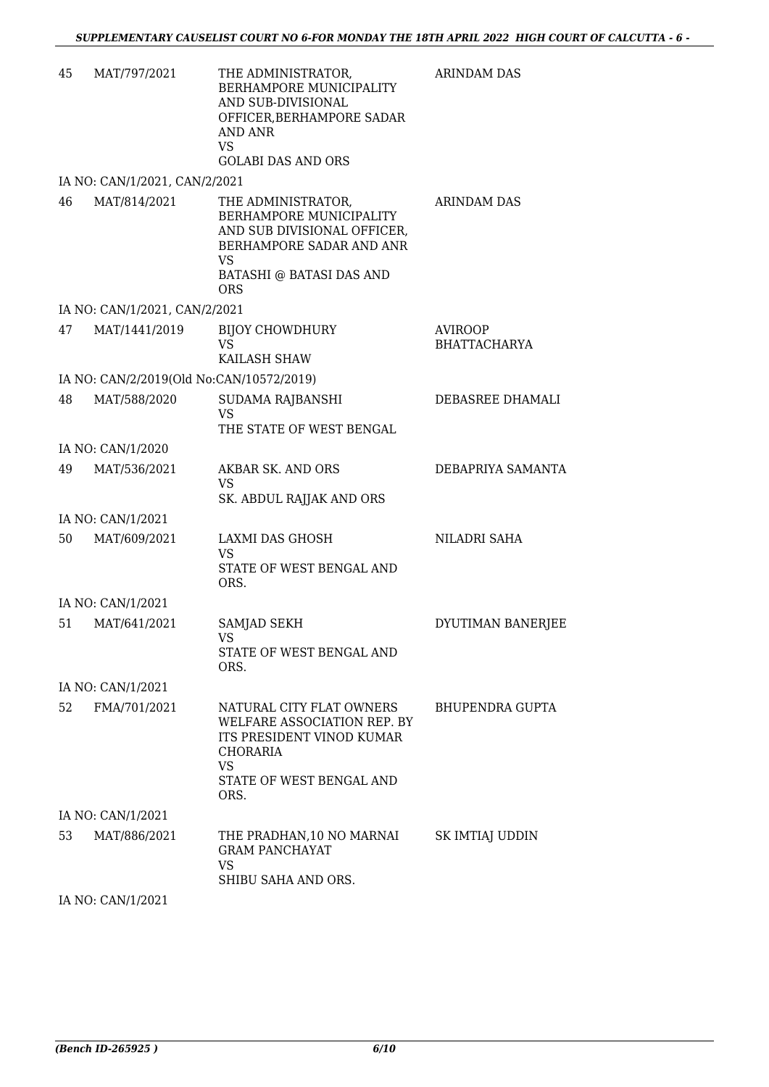| 45 | MAT/797/2021                             | THE ADMINISTRATOR,<br>BERHAMPORE MUNICIPALITY<br>AND SUB-DIVISIONAL<br>OFFICER, BERHAMPORE SADAR<br>AND ANR<br><b>VS</b><br><b>GOLABI DAS AND ORS</b>                  | <b>ARINDAM DAS</b>                    |
|----|------------------------------------------|------------------------------------------------------------------------------------------------------------------------------------------------------------------------|---------------------------------------|
|    | IA NO: CAN/1/2021, CAN/2/2021            |                                                                                                                                                                        |                                       |
| 46 | MAT/814/2021                             | THE ADMINISTRATOR,<br>BERHAMPORE MUNICIPALITY<br>AND SUB DIVISIONAL OFFICER,<br>BERHAMPORE SADAR AND ANR<br><b>VS</b><br><b>BATASHI @ BATASI DAS AND</b><br><b>ORS</b> | ARINDAM DAS                           |
|    | IA NO: CAN/1/2021, CAN/2/2021            |                                                                                                                                                                        |                                       |
| 47 | MAT/1441/2019                            | <b>BIJOY CHOWDHURY</b><br><b>VS</b><br>KAILASH SHAW                                                                                                                    | <b>AVIROOP</b><br><b>BHATTACHARYA</b> |
|    | IA NO: CAN/2/2019(Old No:CAN/10572/2019) |                                                                                                                                                                        |                                       |
| 48 | MAT/588/2020                             | SUDAMA RAJBANSHI<br><b>VS</b><br>THE STATE OF WEST BENGAL                                                                                                              | DEBASREE DHAMALI                      |
|    | IA NO: CAN/1/2020                        |                                                                                                                                                                        |                                       |
| 49 | MAT/536/2021                             | AKBAR SK. AND ORS<br><b>VS</b><br>SK. ABDUL RAJJAK AND ORS                                                                                                             | DEBAPRIYA SAMANTA                     |
|    | IA NO: CAN/1/2021                        |                                                                                                                                                                        |                                       |
| 50 | MAT/609/2021                             | LAXMI DAS GHOSH<br><b>VS</b><br>STATE OF WEST BENGAL AND<br>ORS.                                                                                                       | NILADRI SAHA                          |
|    | IA NO: CAN/1/2021                        |                                                                                                                                                                        |                                       |
| 51 | MAT/641/2021                             | SAMJAD SEKH<br>VS<br>STATE OF WEST BENGAL AND<br>ORS.                                                                                                                  | DYUTIMAN BANERJEE                     |
|    | IA NO: CAN/1/2021                        |                                                                                                                                                                        |                                       |
| 52 | FMA/701/2021                             | NATURAL CITY FLAT OWNERS<br>WELFARE ASSOCIATION REP. BY<br>ITS PRESIDENT VINOD KUMAR<br>CHORARIA<br><b>VS</b><br>STATE OF WEST BENGAL AND<br>ORS.                      | BHUPENDRA GUPTA                       |
|    | IA NO: CAN/1/2021                        |                                                                                                                                                                        |                                       |
| 53 | MAT/886/2021                             | THE PRADHAN,10 NO MARNAI<br><b>GRAM PANCHAYAT</b><br><b>VS</b><br>SHIBU SAHA AND ORS.                                                                                  | SK IMTIAJ UDDIN                       |
|    |                                          |                                                                                                                                                                        |                                       |

IA NO: CAN/1/2021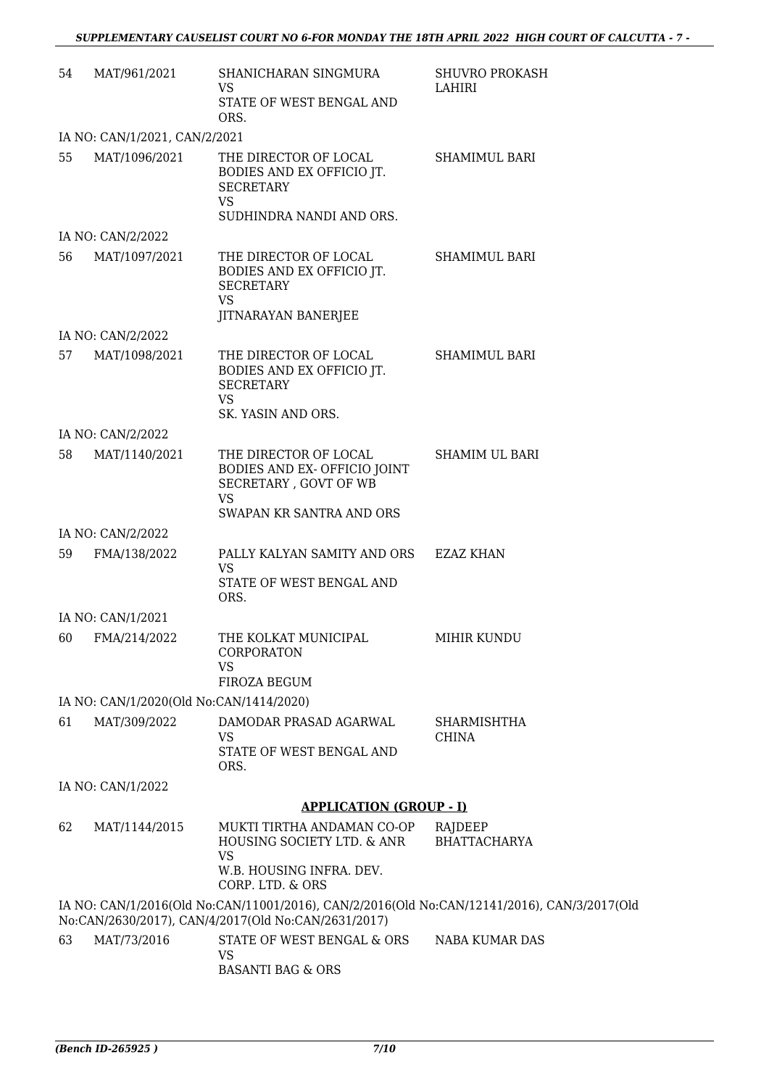| 54 | MAT/961/2021                            | SHANICHARAN SINGMURA<br><b>VS</b><br>STATE OF WEST BENGAL AND<br>ORS.                                                                              | <b>SHUVRO PROKASH</b><br>LAHIRI    |
|----|-----------------------------------------|----------------------------------------------------------------------------------------------------------------------------------------------------|------------------------------------|
|    | IA NO: CAN/1/2021, CAN/2/2021           |                                                                                                                                                    |                                    |
| 55 | MAT/1096/2021                           | THE DIRECTOR OF LOCAL<br>BODIES AND EX OFFICIO JT.<br><b>SECRETARY</b><br><b>VS</b><br>SUDHINDRA NANDI AND ORS.                                    | <b>SHAMIMUL BARI</b>               |
|    | IA NO: CAN/2/2022                       |                                                                                                                                                    |                                    |
| 56 | MAT/1097/2021                           | THE DIRECTOR OF LOCAL<br>BODIES AND EX OFFICIO JT.<br><b>SECRETARY</b><br><b>VS</b><br><b>JITNARAYAN BANERJEE</b>                                  | <b>SHAMIMUL BARI</b>               |
|    | IA NO: CAN/2/2022                       |                                                                                                                                                    |                                    |
| 57 | MAT/1098/2021                           | THE DIRECTOR OF LOCAL<br>BODIES AND EX OFFICIO JT.<br><b>SECRETARY</b><br><b>VS</b><br>SK. YASIN AND ORS.                                          | <b>SHAMIMUL BARI</b>               |
|    | IA NO: CAN/2/2022                       |                                                                                                                                                    |                                    |
| 58 | MAT/1140/2021                           | THE DIRECTOR OF LOCAL<br>BODIES AND EX- OFFICIO JOINT<br>SECRETARY, GOVT OF WB<br><b>VS</b>                                                        | <b>SHAMIM UL BARI</b>              |
|    |                                         | SWAPAN KR SANTRA AND ORS                                                                                                                           |                                    |
|    | IA NO: CAN/2/2022                       |                                                                                                                                                    |                                    |
| 59 | FMA/138/2022                            | PALLY KALYAN SAMITY AND ORS EZAZ KHAN<br><b>VS</b><br>STATE OF WEST BENGAL AND<br>ORS.                                                             |                                    |
|    | IA NO: CAN/1/2021                       |                                                                                                                                                    |                                    |
|    | 60 FMA/214/2022                         | THE KOLKAT MUNICIPAL<br><b>CORPORATON</b><br><b>VS</b><br>FIROZA BEGUM                                                                             | MIHIR KUNDU                        |
|    | IA NO: CAN/1/2020(Old No:CAN/1414/2020) |                                                                                                                                                    |                                    |
| 61 | MAT/309/2022                            | DAMODAR PRASAD AGARWAL<br>VS                                                                                                                       | <b>SHARMISHTHA</b><br><b>CHINA</b> |
|    |                                         | STATE OF WEST BENGAL AND<br>ORS.                                                                                                                   |                                    |
|    | IA NO: CAN/1/2022                       |                                                                                                                                                    |                                    |
|    |                                         | <b>APPLICATION (GROUP - I)</b>                                                                                                                     |                                    |
| 62 | MAT/1144/2015                           | MUKTI TIRTHA ANDAMAN CO-OP<br>HOUSING SOCIETY LTD. & ANR<br><b>VS</b><br>W.B. HOUSING INFRA. DEV.<br>CORP. LTD. & ORS                              | RAJDEEP<br><b>BHATTACHARYA</b>     |
|    |                                         | IA NO: CAN/1/2016(Old No:CAN/11001/2016), CAN/2/2016(Old No:CAN/12141/2016), CAN/3/2017(Old<br>No:CAN/2630/2017), CAN/4/2017(Old No:CAN/2631/2017) |                                    |
| 63 | MAT/73/2016                             | STATE OF WEST BENGAL & ORS<br><b>VS</b><br><b>BASANTI BAG &amp; ORS</b>                                                                            | NABA KUMAR DAS                     |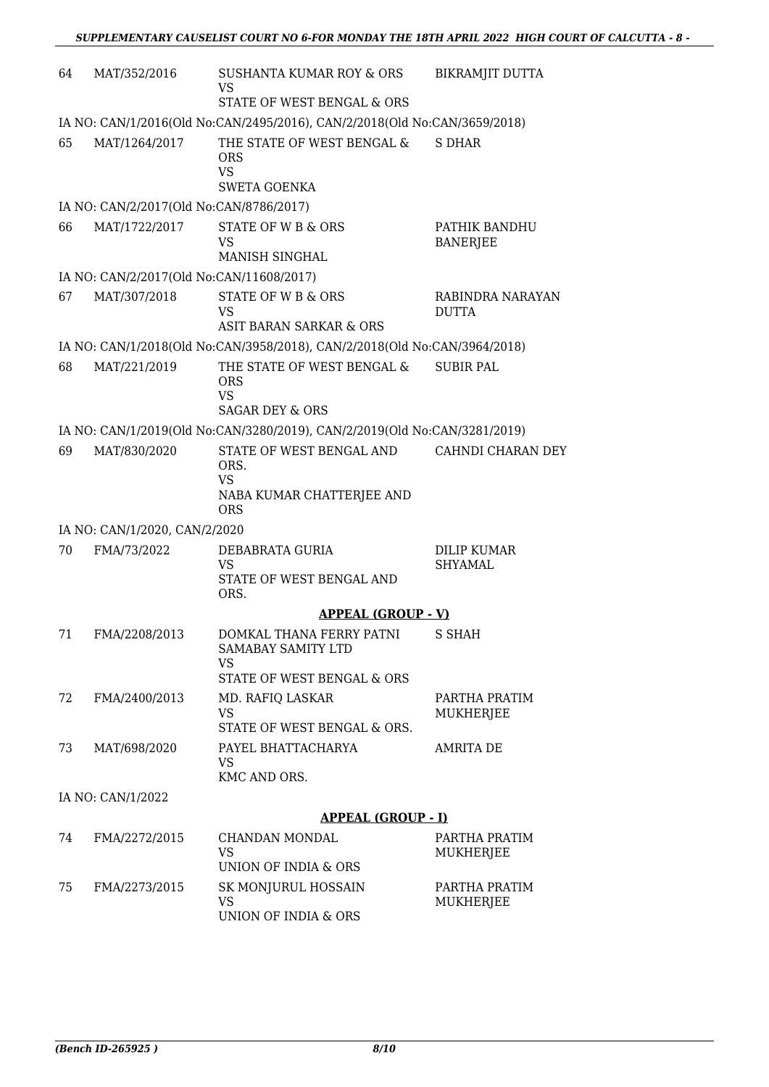| 64                | MAT/352/2016                             | SUSHANTA KUMAR ROY & ORS<br>VS                                                           | BIKRAMJIT DUTTA                      |  |  |
|-------------------|------------------------------------------|------------------------------------------------------------------------------------------|--------------------------------------|--|--|
|                   |                                          | STATE OF WEST BENGAL & ORS                                                               |                                      |  |  |
|                   |                                          | IA NO: CAN/1/2016(Old No:CAN/2495/2016), CAN/2/2018(Old No:CAN/3659/2018)                |                                      |  |  |
| 65                | MAT/1264/2017                            | THE STATE OF WEST BENGAL &<br><b>ORS</b><br>VS<br><b>SWETA GOENKA</b>                    | <b>S DHAR</b>                        |  |  |
|                   | IA NO: CAN/2/2017(Old No:CAN/8786/2017)  |                                                                                          |                                      |  |  |
| 66                | MAT/1722/2017                            | STATE OF W B & ORS<br>VS<br>MANISH SINGHAL                                               | PATHIK BANDHU<br><b>BANERJEE</b>     |  |  |
|                   | IA NO: CAN/2/2017(Old No:CAN/11608/2017) |                                                                                          |                                      |  |  |
| 67                | MAT/307/2018                             | STATE OF W B & ORS                                                                       | RABINDRA NARAYAN                     |  |  |
|                   |                                          | <b>VS</b><br>ASIT BARAN SARKAR & ORS                                                     | <b>DUTTA</b>                         |  |  |
|                   |                                          | IA NO: CAN/1/2018(Old No:CAN/3958/2018), CAN/2/2018(Old No:CAN/3964/2018)                |                                      |  |  |
| 68                | MAT/221/2019                             | THE STATE OF WEST BENGAL &<br><b>ORS</b><br><b>VS</b>                                    | <b>SUBIR PAL</b>                     |  |  |
|                   |                                          | <b>SAGAR DEY &amp; ORS</b>                                                               |                                      |  |  |
|                   |                                          | IA NO: CAN/1/2019(Old No:CAN/3280/2019), CAN/2/2019(Old No:CAN/3281/2019)                |                                      |  |  |
| 69                | MAT/830/2020                             | STATE OF WEST BENGAL AND<br>ORS.<br><b>VS</b><br>NABA KUMAR CHATTERJEE AND<br><b>ORS</b> | CAHNDI CHARAN DEY                    |  |  |
|                   | IA NO: CAN/1/2020, CAN/2/2020            |                                                                                          |                                      |  |  |
| 70                | FMA/73/2022                              | DEBABRATA GURIA<br><b>VS</b><br>STATE OF WEST BENGAL AND<br>ORS.                         | <b>DILIP KUMAR</b><br><b>SHYAMAL</b> |  |  |
|                   |                                          | <b>APPEAL (GROUP - V)</b>                                                                |                                      |  |  |
| 71                | FMA/2208/2013                            | DOMKAL THANA FERRY PATNI<br>SAMABAY SAMITY LTD<br>VS<br>STATE OF WEST BENGAL & ORS       | S SHAH                               |  |  |
| 72                | FMA/2400/2013                            | MD. RAFIQ LASKAR                                                                         | PARTHA PRATIM                        |  |  |
|                   |                                          | <b>VS</b><br>STATE OF WEST BENGAL & ORS.                                                 | MUKHERJEE                            |  |  |
| 73                | MAT/698/2020                             | PAYEL BHATTACHARYA<br><b>VS</b>                                                          | <b>AMRITA DE</b>                     |  |  |
|                   |                                          | KMC AND ORS.                                                                             |                                      |  |  |
| IA NO: CAN/1/2022 |                                          |                                                                                          |                                      |  |  |
|                   |                                          | <b>APPEAL (GROUP - I)</b>                                                                |                                      |  |  |
| 74                | FMA/2272/2015                            | CHANDAN MONDAL<br>VS                                                                     | PARTHA PRATIM<br>MUKHERJEE           |  |  |
|                   |                                          | UNION OF INDIA & ORS                                                                     |                                      |  |  |
| 75                | FMA/2273/2015                            | SK MONJURUL HOSSAIN<br><b>VS</b><br>UNION OF INDIA & ORS                                 | PARTHA PRATIM<br>MUKHERJEE           |  |  |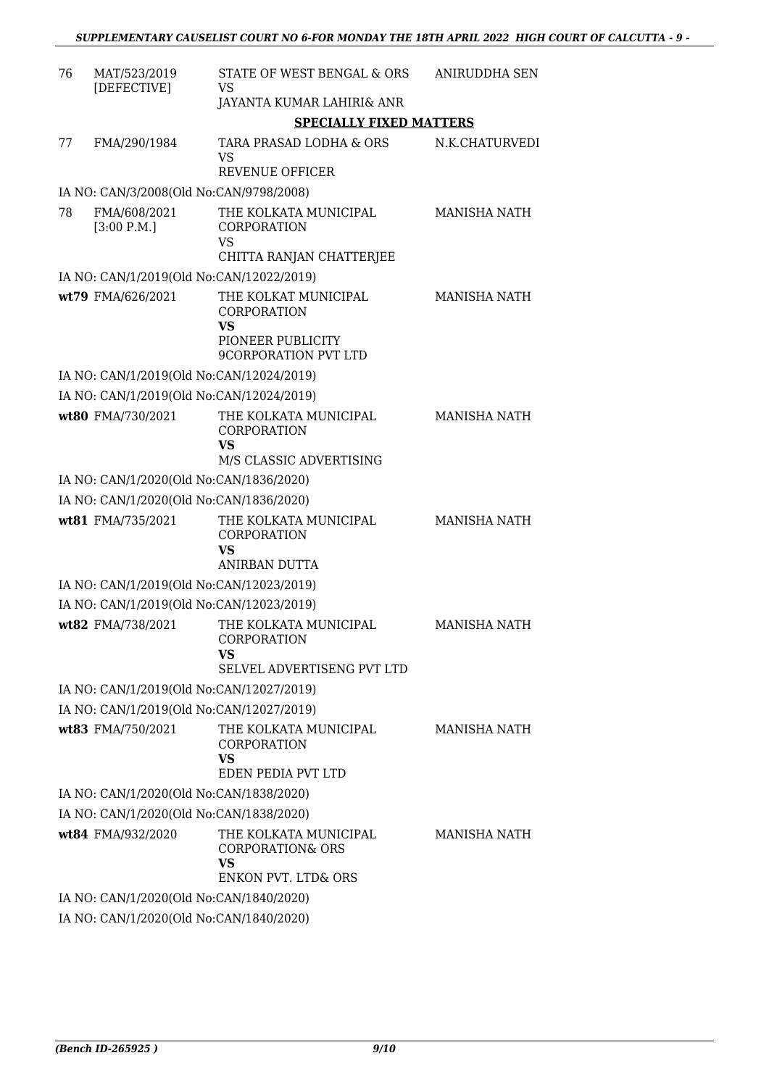| 76 | MAT/523/2019<br>[DEFECTIVE]              | STATE OF WEST BENGAL & ORS<br>VS                                                                    | ANIRUDDHA SEN       |
|----|------------------------------------------|-----------------------------------------------------------------------------------------------------|---------------------|
|    |                                          | JAYANTA KUMAR LAHIRI& ANR                                                                           |                     |
|    |                                          | <b>SPECIALLY FIXED MATTERS</b>                                                                      |                     |
| 77 | FMA/290/1984                             | TARA PRASAD LODHA & ORS<br><b>VS</b><br><b>REVENUE OFFICER</b>                                      | N.K.CHATURVEDI      |
|    | IA NO: CAN/3/2008(Old No:CAN/9798/2008)  |                                                                                                     |                     |
| 78 | FMA/608/2021<br>[3:00 P.M.]              | THE KOLKATA MUNICIPAL<br><b>CORPORATION</b><br><b>VS</b><br>CHITTA RANJAN CHATTERJEE                | <b>MANISHA NATH</b> |
|    | IA NO: CAN/1/2019(Old No:CAN/12022/2019) |                                                                                                     |                     |
|    | wt79 FMA/626/2021                        | THE KOLKAT MUNICIPAL<br><b>CORPORATION</b><br>VS<br>PIONEER PUBLICITY<br>9CORPORATION PVT LTD       | <b>MANISHA NATH</b> |
|    | IA NO: CAN/1/2019(Old No:CAN/12024/2019) |                                                                                                     |                     |
|    | IA NO: CAN/1/2019(Old No:CAN/12024/2019) |                                                                                                     |                     |
|    | wt80 FMA/730/2021                        | THE KOLKATA MUNICIPAL<br><b>CORPORATION</b><br>VS<br>M/S CLASSIC ADVERTISING                        | <b>MANISHA NATH</b> |
|    | IA NO: CAN/1/2020(Old No:CAN/1836/2020)  |                                                                                                     |                     |
|    | IA NO: CAN/1/2020(Old No:CAN/1836/2020)  |                                                                                                     |                     |
|    | wt81 FMA/735/2021                        | THE KOLKATA MUNICIPAL<br><b>CORPORATION</b><br><b>VS</b><br>ANIRBAN DUTTA                           | <b>MANISHA NATH</b> |
|    | IA NO: CAN/1/2019(Old No:CAN/12023/2019) |                                                                                                     |                     |
|    | IA NO: CAN/1/2019(Old No:CAN/12023/2019) |                                                                                                     |                     |
|    | wt82 FMA/738/2021                        | THE KOLKATA MUNICIPAL<br>CORPORATION<br><b>VS</b><br><b>SELVEL ADVERTISENG PVT LTD</b>              | <b>MANISHA NATH</b> |
|    | IA NO: CAN/1/2019(Old No:CAN/12027/2019) |                                                                                                     |                     |
|    | IA NO: CAN/1/2019(Old No:CAN/12027/2019) |                                                                                                     |                     |
|    | wt83 FMA/750/2021                        | THE KOLKATA MUNICIPAL<br>CORPORATION<br><b>VS</b><br>EDEN PEDIA PVT LTD                             | <b>MANISHA NATH</b> |
|    | IA NO: CAN/1/2020(Old No:CAN/1838/2020)  |                                                                                                     |                     |
|    | IA NO: CAN/1/2020(Old No:CAN/1838/2020)  |                                                                                                     |                     |
|    | wt84 FMA/932/2020                        | THE KOLKATA MUNICIPAL<br><b>CORPORATION&amp; ORS</b><br><b>VS</b><br><b>ENKON PVT. LTD&amp; ORS</b> | MANISHA NATH        |
|    | IA NO: CAN/1/2020(Old No:CAN/1840/2020)  |                                                                                                     |                     |
|    | IA NO: CAN/1/2020(Old No:CAN/1840/2020)  |                                                                                                     |                     |